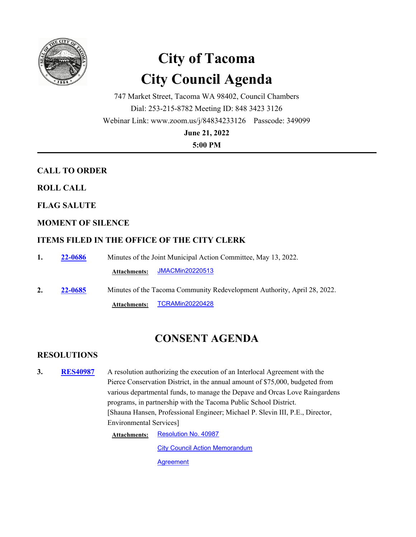

# **City of Tacoma City Council Agenda**

747 Market Street, Tacoma WA 98402, Council Chambers Dial: 253-215-8782 Meeting ID: 848 3423 3126 Webinar Link: www.zoom.us/j/84834233126 Passcode: 349099

**June 21, 2022**

**5:00 PM**

# **CALL TO ORDER**

**ROLL CALL**

**FLAG SALUTE**

# **MOMENT OF SILENCE**

# **ITEMS FILED IN THE OFFICE OF THE CITY CLERK**

| 1. | <b>22-0686</b> | Minutes of the Joint Municipal Action Committee, May 13, 2022.           |
|----|----------------|--------------------------------------------------------------------------|
|    |                | Attachments: JMACMin20220513                                             |
| 2. | <b>22-0685</b> | Minutes of the Tacoma Community Redevelopment Authority, April 28, 2022. |
|    |                | TCRAMin20220428<br><b>Attachments:</b>                                   |

# **CONSENT AGENDA**

## **RESOLUTIONS**

**3.** RES40987 A resolution authorizing the execution of an Interlocal Agreement with the Pierce Conservation District, in the annual amount of \$75,000, budgeted from various departmental funds, to manage the Depave and Orcas Love Raingardens programs, in partnership with the Tacoma Public School District. [Shauna Hansen, Professional Engineer; Michael P. Slevin III, P.E., Director, Environmental Services] **RES40987**

> Attachments: [Resolution No. 40987](http://cityoftacoma.legistar.com/gateway.aspx?M=F&ID=07d4e520-5bc0-4b4a-8e13-aab01e0b4a14.pdf) **[City Council Action Memorandum](http://cityoftacoma.legistar.com/gateway.aspx?M=F&ID=13ff904b-b729-4afe-aa69-909a7aadf46b.pdf) [Agreement](http://cityoftacoma.legistar.com/gateway.aspx?M=F&ID=ead00dac-74fc-4698-818d-82e3cf184648.pdf)**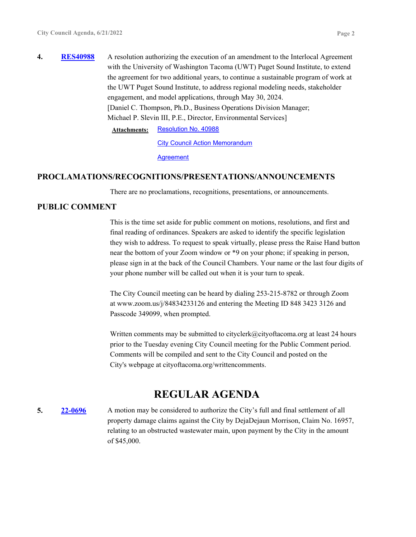**4. RES40988** A resolution authorizing the execution of an amendment to the Interlocal Agreement with the University of Washington Tacoma (UWT) Puget Sound Institute, to extend the agreement for two additional years, to continue a sustainable program of work at the UWT Puget Sound Institute, to address regional modeling needs, stakeholder engagement, and model applications, through May 30, 2024. [Daniel C. Thompson, Ph.D., Business Operations Division Manager; Michael P. Slevin III, P.E., Director, Environmental Services] **RES40988**

**Attachments:** [Resolution No. 40988](http://cityoftacoma.legistar.com/gateway.aspx?M=F&ID=7ee4cffe-41f3-4967-b0a2-ab878c0a1eee.pdf)

**[City Council Action Memorandum](http://cityoftacoma.legistar.com/gateway.aspx?M=F&ID=7d70f734-60ad-4b94-93cd-7f675aa93712.pdf)** 

**[Agreement](http://cityoftacoma.legistar.com/gateway.aspx?M=F&ID=0bf8acd2-3e47-428b-a198-0323835072a1.pdf)** 

#### **PROCLAMATIONS/RECOGNITIONS/PRESENTATIONS/ANNOUNCEMENTS**

There are no proclamations, recognitions, presentations, or announcements.

#### **PUBLIC COMMENT**

This is the time set aside for public comment on motions, resolutions, and first and final reading of ordinances. Speakers are asked to identify the specific legislation they wish to address. To request to speak virtually, please press the Raise Hand button near the bottom of your Zoom window or \*9 on your phone; if speaking in person, please sign in at the back of the Council Chambers. Your name or the last four digits of your phone number will be called out when it is your turn to speak.

The City Council meeting can be heard by dialing 253-215-8782 or through Zoom at www.zoom.us/j/84834233126 and entering the Meeting ID 848 3423 3126 and Passcode 349099, when prompted.

Written comments may be submitted to cityclerk@cityoftacoma.org at least 24 hours prior to the Tuesday evening City Council meeting for the Public Comment period. Comments will be compiled and sent to the City Council and posted on the City's webpage at cityoftacoma.org/writtencomments.

# **REGULAR AGENDA**

**5. 22-0696** A motion may be considered to authorize the City's full and final settlement of all property damage claims against the City by DejaDejaun Morrison, Claim No. 16957, relating to an obstructed wastewater main, upon payment by the City in the amount of \$45,000. **22-0696**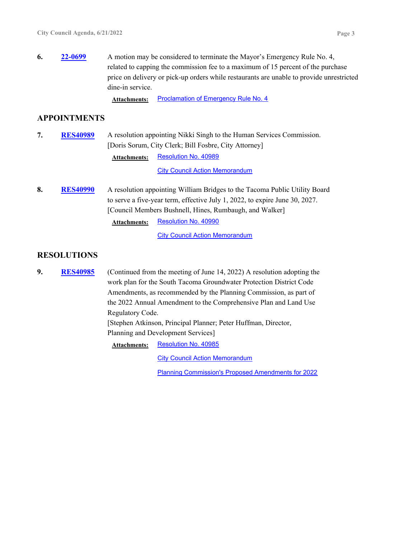Attachments: [Proclamation of Emergency Rule No. 4](http://cityoftacoma.legistar.com/gateway.aspx?M=F&ID=f660cea0-c08b-4acb-8313-45c6e1175fbd.pdf)

#### **APPOINTMENTS**

**7.** RES40989 A resolution appointing Nikki Singh to the Human Services Commission. [Doris Sorum, City Clerk; Bill Fosbre, City Attorney] **RES40989 Attachments:** [Resolution No. 40989](http://cityoftacoma.legistar.com/gateway.aspx?M=F&ID=263ef636-eae0-4650-82f8-2ab1760027ef.pdf)

**[City Council Action Memorandum](http://cityoftacoma.legistar.com/gateway.aspx?M=F&ID=8939c4bb-9aca-4a50-b8e8-d73f2cd267a3.pdf)** 

8. RES40990 A resolution appointing William Bridges to the Tacoma Public Utility Board to serve a five-year term, effective July 1, 2022, to expire June 30, 2027. [Council Members Bushnell, Hines, Rumbaugh, and Walker] **RES40990**

Attachments: [Resolution No. 40990](http://cityoftacoma.legistar.com/gateway.aspx?M=F&ID=fff1ffbb-f3d9-4800-af56-63623ec1cb97.pdf)

**[City Council Action Memorandum](http://cityoftacoma.legistar.com/gateway.aspx?M=F&ID=35096244-e194-4874-9ef6-859883e16a53.pdf)** 

## **RESOLUTIONS**

**9.** RES40985 (Continued from the meeting of June 14, 2022) A resolution adopting the work plan for the South Tacoma Groundwater Protection District Code Amendments, as recommended by the Planning Commission, as part of the 2022 Annual Amendment to the Comprehensive Plan and Land Use Regulatory Code. [Stephen Atkinson, Principal Planner; Peter Huffman, Director, Planning and Development Services] **RES40985** Attachments: [Resolution No. 40985](http://cityoftacoma.legistar.com/gateway.aspx?M=F&ID=971e10ae-f343-4b74-841d-b019275a0586.pdf)

**[City Council Action Memorandum](http://cityoftacoma.legistar.com/gateway.aspx?M=F&ID=f2e9f146-9ec8-47c4-8f1a-c00a3a43c61c.pdf)** 

[Planning Commission's Proposed Amendments for 2022](http://cityoftacoma.legistar.com/gateway.aspx?M=F&ID=2e2c9c1b-81fd-4ef6-a3da-3b822bd2a9c2.pdf)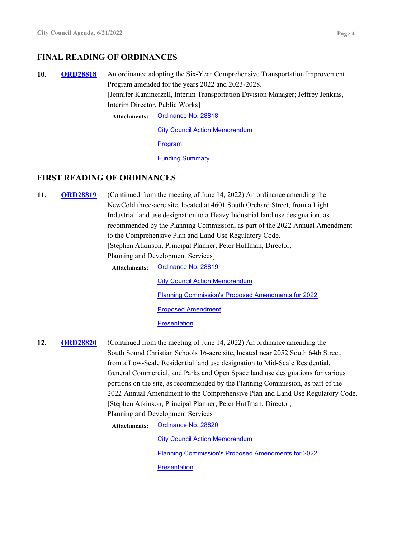#### **FINAL READING OF ORDINANCES**

10. ORD28818 An ordinance adopting the Six-Year Comprehensive Transportation Improvement Program amended for the years 2022 and 2023-2028. [Jennifer Kammerzell, Interim Transportation Division Manager; Jeffrey Jenkins, Interim Director, Public Works] **ORD28818**

**Attachments:** [Ordinance No. 28818](http://cityoftacoma.legistar.com/gateway.aspx?M=F&ID=e25999c7-7317-4251-b547-c1258e089d6f.pdf)

**[City Council Action Memorandum](http://cityoftacoma.legistar.com/gateway.aspx?M=F&ID=71905ae5-3143-456f-81a2-36a64c164cdc.pdf)** 

[Program](http://cityoftacoma.legistar.com/gateway.aspx?M=F&ID=1118bce9-67c9-4e1d-8dd3-0fd752347631.pdf)

[Funding Summary](http://cityoftacoma.legistar.com/gateway.aspx?M=F&ID=f350191d-4b18-453a-b1ff-0c2695d5fb19.pdf)

#### **FIRST READING OF ORDINANCES**

**11. ORD28819** (Continued from the meeting of June 14, 2022) An ordinance amending the NewCold three-acre site, located at 4601 South Orchard Street, from a Light Industrial land use designation to a Heavy Industrial land use designation, as recommended by the Planning Commission, as part of the 2022 Annual Amendment to the Comprehensive Plan and Land Use Regulatory Code. [Stephen Atkinson, Principal Planner; Peter Huffman, Director, Planning and Development Services] **ORD28819**

**Attachments:** [Ordinance No. 28819](http://cityoftacoma.legistar.com/gateway.aspx?M=F&ID=f5add738-3ffd-42d1-b207-a5da54382e42.pdf) [City Council Action Memorandum](http://cityoftacoma.legistar.com/gateway.aspx?M=F&ID=04fb2953-20e0-4f81-8f35-efae7d8c142d.pdf) [Planning Commission's Proposed Amendments for 2022](http://cityoftacoma.legistar.com/gateway.aspx?M=F&ID=136956a2-a689-4f86-bc4c-a83d3071d8d3.pdf) [Proposed Amendment](http://cityoftacoma.legistar.com/gateway.aspx?M=F&ID=17246f68-aa7a-4ca6-8544-0e29b2569fd8.pdf) **[Presentation](http://cityoftacoma.legistar.com/gateway.aspx?M=F&ID=8fd4b1a0-9bf2-4ce6-825a-7d6d041e7b63.pdf)** 

**12. ORD28820** (Continued from the meeting of June 14, 2022) An ordinance amending the South Sound Christian Schools 16-acre site, located near 2052 South 64th Street, from a Low-Scale Residential land use designation to Mid-Scale Residential, General Commercial, and Parks and Open Space land use designations for various portions on the site, as recommended by the Planning Commission, as part of the 2022 Annual Amendment to the Comprehensive Plan and Land Use Regulatory Code. [Stephen Atkinson, Principal Planner; Peter Huffman, Director, Planning and Development Services] **ORD28820**

**Attachments:** [Ordinance No. 28820](http://cityoftacoma.legistar.com/gateway.aspx?M=F&ID=65276f9c-4d98-4090-b094-d2fc3fe2e7bb.pdf)

[City Council Action Memorandum](http://cityoftacoma.legistar.com/gateway.aspx?M=F&ID=e4bf7a17-407a-4624-8b16-8c58e42f9566.pdf) [Planning Commission's Proposed Amendments for 2022](http://cityoftacoma.legistar.com/gateway.aspx?M=F&ID=ef0e8e89-0ff4-44b5-94e4-394d38005c2a.pdf) **[Presentation](http://cityoftacoma.legistar.com/gateway.aspx?M=F&ID=8e2c5fc8-7a7e-4e19-82ca-2cb121a027c1.pdf)**